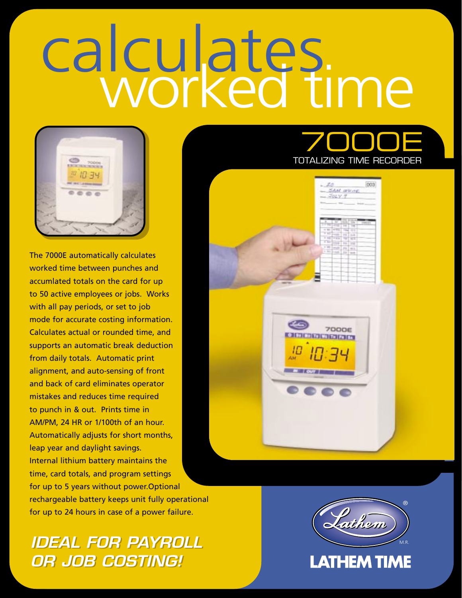# calculates.



The 7000E automatically calculates worked time between punches and accumlated totals on the card for up to 50 active employees or jobs. Works with all pay periods, or set to job mode for accurate costing information. Calculates actual or rounded time, and supports an automatic break deduction from daily totals. Automatic print alignment, and auto-sensing of front and back of card eliminates operator mistakes and reduces time required to punch in & out. Prints time in AM/PM, 24 HR or 1/100th of an hour. Automatically adjusts for short months, leap year and daylight savings. Internal lithium battery maintains the time, card totals, and program settings for up to 5 years without power.Optional rechargeable battery keeps unit fully operational for up to 24 hours in case of a power failure.

# *IDEAL FOR PAYROLL IDEAL FOR PAYROLL OR JOB COSTING! OR JOB COSTING!*



**SAM WHITE**  $Jyy \vee y$ 

**7000E** 

003

®

M.R.

Luthem

**LATHEM TIME**